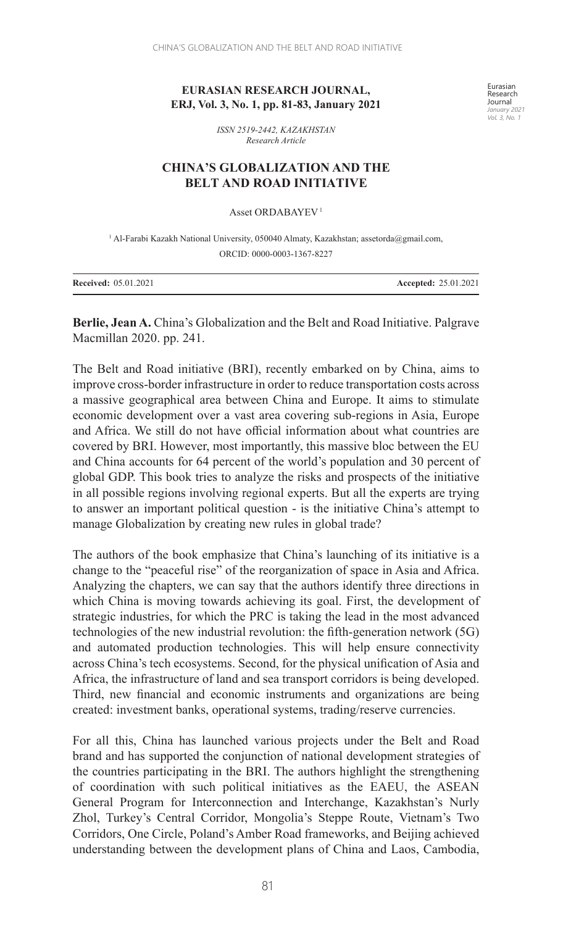## **EURASIAN RESEARCH JOURNAL, ERJ, Vol. 3, No. 1, pp. 81-83, January 2021**

Eurasian Research Journal *January 2021 Vol. 3, No. 1*

*ISSN 2519-2442, KAZAKHSTAN Research Article*

## **CHINA'S GLOBALIZATION AND THE BELT AND ROAD INITIATIVE**

Asset ORDABAYEV 1

<sup>1</sup> Al-Farabi Kazakh National University, 050040 Almaty, Kazakhstan; assetorda@gmail.com, ORCID: 0000-0003-1367-8227

| <b>Received: 05.01.2021</b> | <b>Accepted: 25.01.2021</b> |
|-----------------------------|-----------------------------|
|-----------------------------|-----------------------------|

**Berlie, Jean A.** China's Globalization and the Belt and Road Initiative. Palgrave Macmillan 2020. pp. 241.

The Belt and Road initiative (BRI), recently embarked on by China, aims to improve cross-border infrastructure in order to reduce transportation costs across a massive geographical area between China and Europe. It aims to stimulate economic development over a vast area covering sub-regions in Asia, Europe and Africa. We still do not have official information about what countries are covered by BRI. However, most importantly, this massive bloc between the EU and China accounts for 64 percent of the world's population and 30 percent of global GDP. This book tries to analyze the risks and prospects of the initiative in all possible regions involving regional experts. But all the experts are trying to answer an important political question - is the initiative China's attempt to manage Globalization by creating new rules in global trade?

The authors of the book emphasize that China's launching of its initiative is a change to the "peaceful rise" of the reorganization of space in Asia and Africa. Analyzing the chapters, we can say that the authors identify three directions in which China is moving towards achieving its goal. First, the development of strategic industries, for which the PRC is taking the lead in the most advanced technologies of the new industrial revolution: the fifth-generation network (5G) and automated production technologies. This will help ensure connectivity across China's tech ecosystems. Second, for the physical unification of Asia and Africa, the infrastructure of land and sea transport corridors is being developed. Third, new financial and economic instruments and organizations are being created: investment banks, operational systems, trading/reserve currencies.

For all this, China has launched various projects under the Belt and Road brand and has supported the conjunction of national development strategies of the countries participating in the BRI. The authors highlight the strengthening of coordination with such political initiatives as the EAEU, the ASEAN General Program for Interconnection and Interchange, Kazakhstan's Nurly Zhol, Turkey's Central Corridor, Mongolia's Steppe Route, Vietnam's Two Corridors, One Circle, Poland's Amber Road frameworks, and Beijing achieved understanding between the development plans of China and Laos, Cambodia,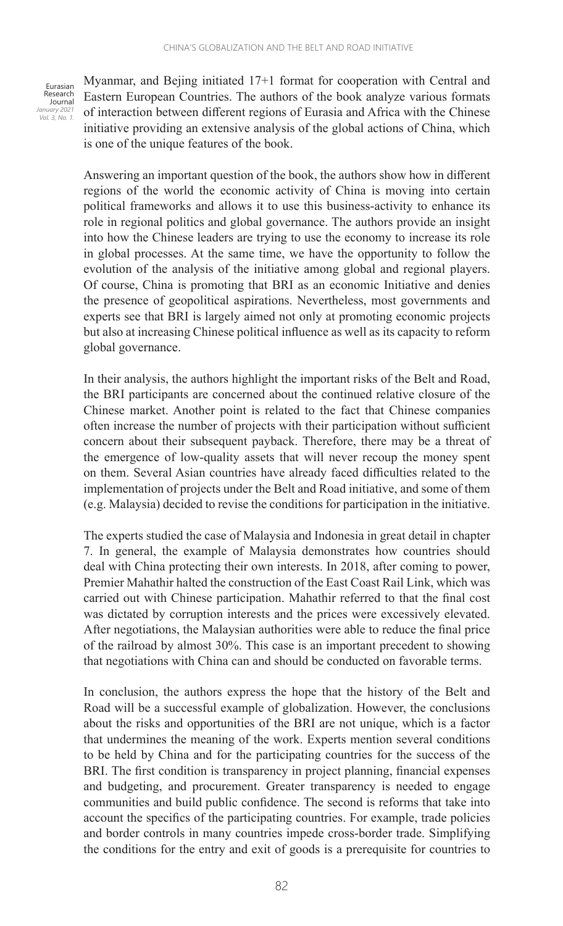Eurasian Research Journal *January 2021 Vol. 3, No. 1.*

Myanmar, and Bejing initiated 17+1 format for cooperation with Central and Eastern European Countries. The authors of the book analyze various formats of interaction between different regions of Eurasia and Africa with the Chinese initiative providing an extensive analysis of the global actions of China, which is one of the unique features of the book.

Answering an important question of the book, the authors show how in different regions of the world the economic activity of China is moving into certain political frameworks and allows it to use this business-activity to enhance its role in regional politics and global governance. The authors provide an insight into how the Chinese leaders are trying to use the economy to increase its role in global processes. At the same time, we have the opportunity to follow the evolution of the analysis of the initiative among global and regional players. Of course, China is promoting that BRI as an economic Initiative and denies the presence of geopolitical aspirations. Nevertheless, most governments and experts see that BRI is largely aimed not only at promoting economic projects but also at increasing Chinese political influence as well as its capacity to reform global governance.

In their analysis, the authors highlight the important risks of the Belt and Road, the BRI participants are concerned about the continued relative closure of the Chinese market. Another point is related to the fact that Chinese companies often increase the number of projects with their participation without sufficient concern about their subsequent payback. Therefore, there may be a threat of the emergence of low-quality assets that will never recoup the money spent on them. Several Asian countries have already faced difficulties related to the implementation of projects under the Belt and Road initiative, and some of them (e.g. Malaysia) decided to revise the conditions for participation in the initiative.

The experts studied the case of Malaysia and Indonesia in great detail in chapter 7. In general, the example of Malaysia demonstrates how countries should deal with China protecting their own interests. In 2018, after coming to power, Premier Mahathir halted the construction of the East Coast Rail Link, which was carried out with Chinese participation. Mahathir referred to that the final cost was dictated by corruption interests and the prices were excessively elevated. After negotiations, the Malaysian authorities were able to reduce the final price of the railroad by almost 30%. This case is an important precedent to showing that negotiations with China can and should be conducted on favorable terms.

In conclusion, the authors express the hope that the history of the Belt and Road will be a successful example of globalization. However, the conclusions about the risks and opportunities of the BRI are not unique, which is a factor that undermines the meaning of the work. Experts mention several conditions to be held by China and for the participating countries for the success of the BRI. The first condition is transparency in project planning, financial expenses and budgeting, and procurement. Greater transparency is needed to engage communities and build public confidence. The second is reforms that take into account the specifics of the participating countries. For example, trade policies and border controls in many countries impede cross-border trade. Simplifying the conditions for the entry and exit of goods is a prerequisite for countries to